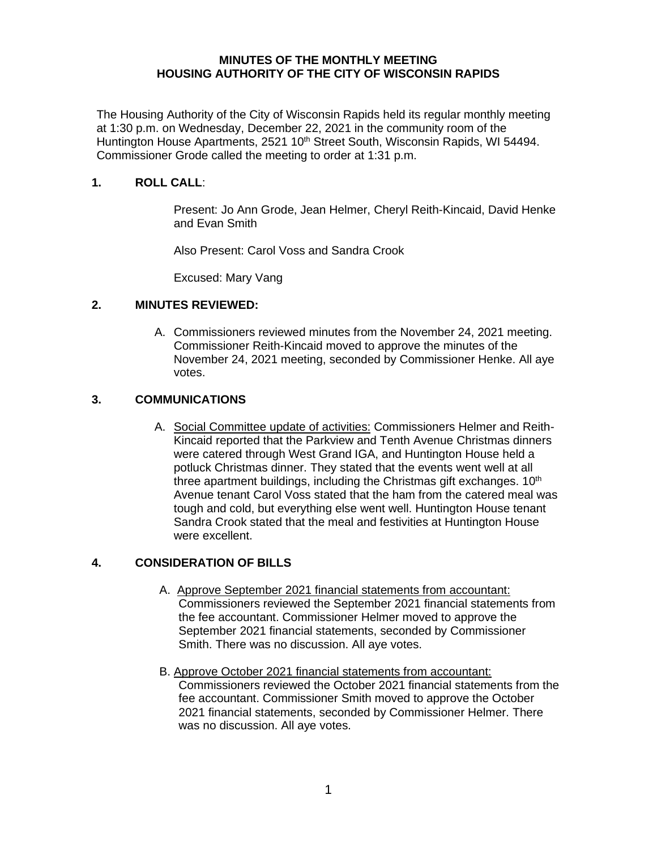#### **MINUTES OF THE MONTHLY MEETING HOUSING AUTHORITY OF THE CITY OF WISCONSIN RAPIDS**

The Housing Authority of the City of Wisconsin Rapids held its regular monthly meeting at 1:30 p.m. on Wednesday, December 22, 2021 in the community room of the Huntington House Apartments, 2521 10<sup>th</sup> Street South, Wisconsin Rapids, WI 54494. Commissioner Grode called the meeting to order at 1:31 p.m.

### **1. ROLL CALL**:

Present: Jo Ann Grode, Jean Helmer, Cheryl Reith-Kincaid, David Henke and Evan Smith

Also Present: Carol Voss and Sandra Crook

Excused: Mary Vang

#### **2. MINUTES REVIEWED:**

A. Commissioners reviewed minutes from the November 24, 2021 meeting. Commissioner Reith-Kincaid moved to approve the minutes of the November 24, 2021 meeting, seconded by Commissioner Henke. All aye votes.

#### **3. COMMUNICATIONS**

A. Social Committee update of activities: Commissioners Helmer and Reith-Kincaid reported that the Parkview and Tenth Avenue Christmas dinners were catered through West Grand IGA, and Huntington House held a potluck Christmas dinner. They stated that the events went well at all three apartment buildings, including the Christmas gift exchanges.  $10<sup>th</sup>$ Avenue tenant Carol Voss stated that the ham from the catered meal was tough and cold, but everything else went well. Huntington House tenant Sandra Crook stated that the meal and festivities at Huntington House were excellent.

## **4. CONSIDERATION OF BILLS**

- A. Approve September 2021 financial statements from accountant: Commissioners reviewed the September 2021 financial statements from the fee accountant. Commissioner Helmer moved to approve the September 2021 financial statements, seconded by Commissioner Smith. There was no discussion. All aye votes.
- B. Approve October 2021 financial statements from accountant: Commissioners reviewed the October 2021 financial statements from the fee accountant. Commissioner Smith moved to approve the October 2021 financial statements, seconded by Commissioner Helmer. There was no discussion. All aye votes.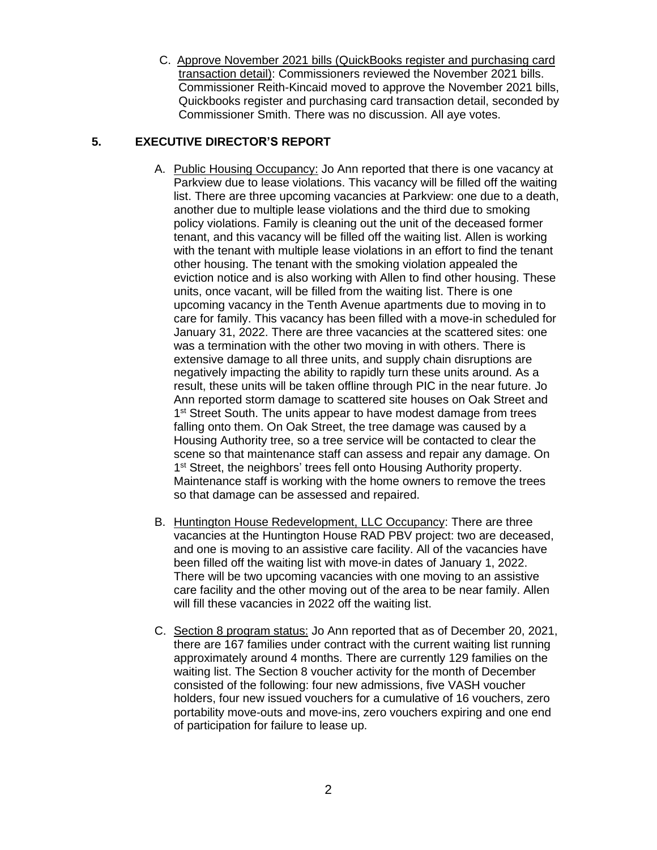C. Approve November 2021 bills (QuickBooks register and purchasing card transaction detail): Commissioners reviewed the November 2021 bills. Commissioner Reith-Kincaid moved to approve the November 2021 bills, Quickbooks register and purchasing card transaction detail, seconded by Commissioner Smith. There was no discussion. All aye votes.

# **5. EXECUTIVE DIRECTOR'S REPORT**

- A. Public Housing Occupancy: Jo Ann reported that there is one vacancy at Parkview due to lease violations. This vacancy will be filled off the waiting list. There are three upcoming vacancies at Parkview: one due to a death, another due to multiple lease violations and the third due to smoking policy violations. Family is cleaning out the unit of the deceased former tenant, and this vacancy will be filled off the waiting list. Allen is working with the tenant with multiple lease violations in an effort to find the tenant other housing. The tenant with the smoking violation appealed the eviction notice and is also working with Allen to find other housing. These units, once vacant, will be filled from the waiting list. There is one upcoming vacancy in the Tenth Avenue apartments due to moving in to care for family. This vacancy has been filled with a move-in scheduled for January 31, 2022. There are three vacancies at the scattered sites: one was a termination with the other two moving in with others. There is extensive damage to all three units, and supply chain disruptions are negatively impacting the ability to rapidly turn these units around. As a result, these units will be taken offline through PIC in the near future. Jo Ann reported storm damage to scattered site houses on Oak Street and 1<sup>st</sup> Street South. The units appear to have modest damage from trees falling onto them. On Oak Street, the tree damage was caused by a Housing Authority tree, so a tree service will be contacted to clear the scene so that maintenance staff can assess and repair any damage. On 1<sup>st</sup> Street, the neighbors' trees fell onto Housing Authority property. Maintenance staff is working with the home owners to remove the trees so that damage can be assessed and repaired.
- B. Huntington House Redevelopment, LLC Occupancy: There are three vacancies at the Huntington House RAD PBV project: two are deceased, and one is moving to an assistive care facility. All of the vacancies have been filled off the waiting list with move-in dates of January 1, 2022. There will be two upcoming vacancies with one moving to an assistive care facility and the other moving out of the area to be near family. Allen will fill these vacancies in 2022 off the waiting list.
- C. Section 8 program status: Jo Ann reported that as of December 20, 2021, there are 167 families under contract with the current waiting list running approximately around 4 months. There are currently 129 families on the waiting list. The Section 8 voucher activity for the month of December consisted of the following: four new admissions, five VASH voucher holders, four new issued vouchers for a cumulative of 16 vouchers, zero portability move-outs and move-ins, zero vouchers expiring and one end of participation for failure to lease up.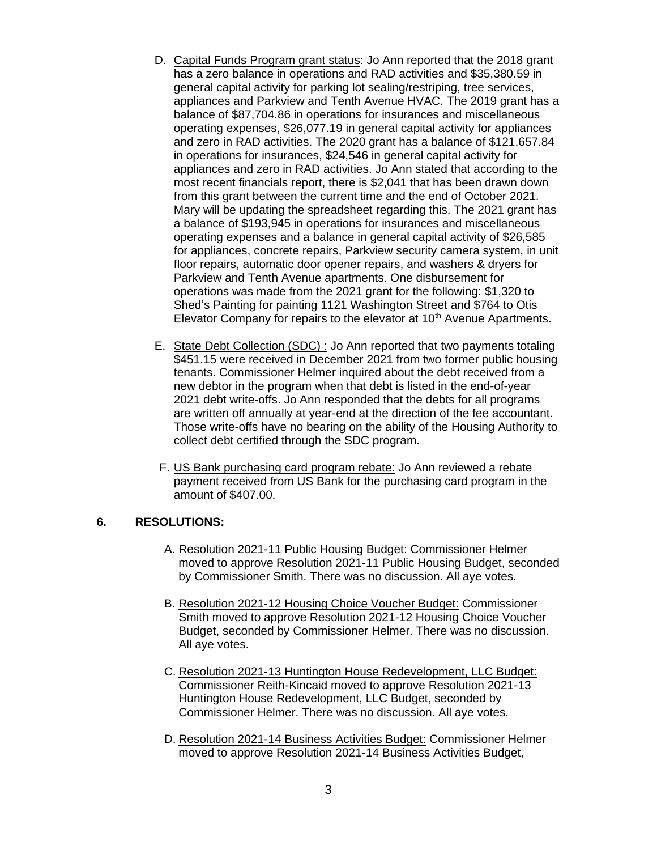- D. Capital Funds Program grant status: Jo Ann reported that the 2018 grant has a zero balance in operations and RAD activities and \$35,380.59 in general capital activity for parking lot sealing/restriping, tree services, appliances and Parkview and Tenth Avenue HVAC. The 2019 grant has a balance of \$87,704.86 in operations for insurances and miscellaneous operating expenses, \$26,077.19 in general capital activity for appliances and zero in RAD activities. The 2020 grant has a balance of \$121,657.84 in operations for insurances, \$24,546 in general capital activity for appliances and zero in RAD activities. Jo Ann stated that according to the most recent financials report, there is \$2,041 that has been drawn down from this grant between the current time and the end of October 2021. Mary will be updating the spreadsheet regarding this. The 2021 grant has a balance of \$193,945 in operations for insurances and miscellaneous operating expenses and a balance in general capital activity of \$26,585 for appliances, concrete repairs, Parkview security camera system, in unit floor repairs, automatic door opener repairs, and washers & dryers for Parkview and Tenth Avenue apartments. One disbursement for operations was made from the 2021 grant for the following: \$1,320 to Shed's Painting for painting 1121 Washington Street and \$764 to Otis Elevator Company for repairs to the elevator at 10<sup>th</sup> Avenue Apartments.
- E. State Debt Collection (SDC) : Jo Ann reported that two payments totaling \$451.15 were received in December 2021 from two former public housing tenants. Commissioner Helmer inquired about the debt received from a new debtor in the program when that debt is listed in the end-of-year 2021 debt write-offs. Jo Ann responded that the debts for all programs are written off annually at year-end at the direction of the fee accountant. Those write-offs have no bearing on the ability of the Housing Authority to collect debt certified through the SDC program.
- F. US Bank purchasing card program rebate: Jo Ann reviewed a rebate payment received from US Bank for the purchasing card program in the amount of \$407.00.

#### **6. RESOLUTIONS:**

- A. Resolution 2021-11 Public Housing Budget: Commissioner Helmer moved to approve Resolution 2021-11 Public Housing Budget, seconded by Commissioner Smith. There was no discussion. All aye votes.
- B. Resolution 2021-12 Housing Choice Voucher Budget: Commissioner Smith moved to approve Resolution 2021-12 Housing Choice Voucher Budget, seconded by Commissioner Helmer. There was no discussion. All aye votes.
- C. Resolution 2021-13 Huntington House Redevelopment, LLC Budget: Commissioner Reith-Kincaid moved to approve Resolution 2021-13 Huntington House Redevelopment, LLC Budget, seconded by Commissioner Helmer. There was no discussion. All aye votes.
- D. Resolution 2021-14 Business Activities Budget: Commissioner Helmer moved to approve Resolution 2021-14 Business Activities Budget,